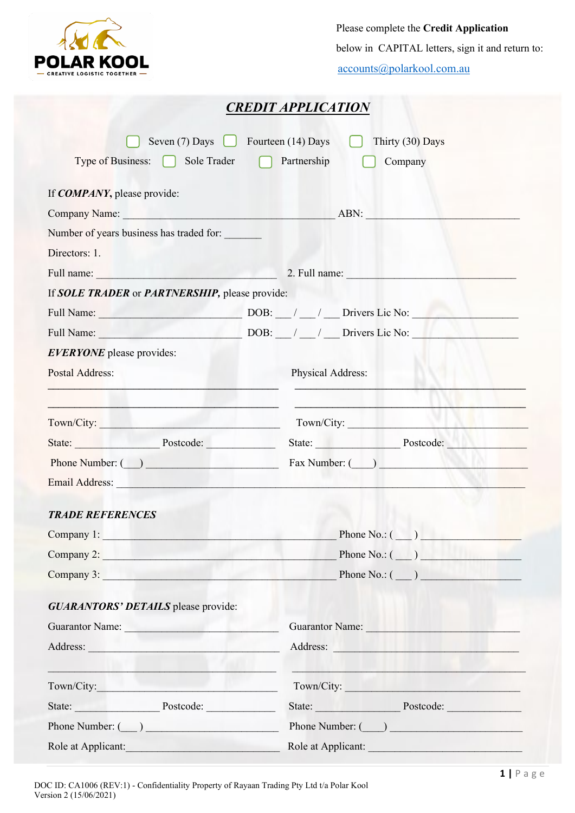

 Please complete the **Credit Application** below in CAPITAL letters, sign it and return to: [accounts@polarkool.com.au](mailto:accounts@polarkool.com.au)

|                                                                                                                                                                                                                                     | <b>CREDIT APPLICATION</b>                                                                                                                                                                                                      |
|-------------------------------------------------------------------------------------------------------------------------------------------------------------------------------------------------------------------------------------|--------------------------------------------------------------------------------------------------------------------------------------------------------------------------------------------------------------------------------|
| Seven $(7)$ Days Geven $(14)$ Days                                                                                                                                                                                                  | Thirty (30) Days                                                                                                                                                                                                               |
| Type of Business: $\bigcap$ Sole Trader $\bigcap$ Partnership                                                                                                                                                                       | Company                                                                                                                                                                                                                        |
|                                                                                                                                                                                                                                     |                                                                                                                                                                                                                                |
| If <b>COMPANY</b> , please provide:                                                                                                                                                                                                 |                                                                                                                                                                                                                                |
| Company Name: ABN:                                                                                                                                                                                                                  |                                                                                                                                                                                                                                |
| Number of years business has traded for:                                                                                                                                                                                            |                                                                                                                                                                                                                                |
| Directors: 1.                                                                                                                                                                                                                       |                                                                                                                                                                                                                                |
| Full name: <u>Electricity</u> and the set of the set of the set of the set of the set of the set of the set of the set of the set of the set of the set of the set of the set of the set of the set of the set of the set of the se |                                                                                                                                                                                                                                |
| If SOLE TRADER or PARTNERSHIP, please provide:                                                                                                                                                                                      |                                                                                                                                                                                                                                |
| Full Name: DOB: / _/ __ Drivers Lic No:                                                                                                                                                                                             |                                                                                                                                                                                                                                |
|                                                                                                                                                                                                                                     | Full Name: DOB: / / Drivers Lic No:                                                                                                                                                                                            |
| <b>EVERYONE</b> please provides:                                                                                                                                                                                                    |                                                                                                                                                                                                                                |
| Postal Address:                                                                                                                                                                                                                     | Physical Address:                                                                                                                                                                                                              |
|                                                                                                                                                                                                                                     |                                                                                                                                                                                                                                |
| Town/City: Town 2018                                                                                                                                                                                                                | Town/City:                                                                                                                                                                                                                     |
|                                                                                                                                                                                                                                     | State: Postcode: Natural Postcode: Natural Postcode: Natural Postcode: Natural Postcode: Natural Postcode: Natural Postcode: Natural Postcode: Natural Postcode: Natural Postcode: Natural Postcode: Natural Postcode: Natural |
| Phone Number: ( )                                                                                                                                                                                                                   |                                                                                                                                                                                                                                |
| Email Address: No. 1996. The Communication of the Communication of the Communication of the Communication of the Communication of the Communication of the Communication of the Communication of the Communication of the Comm      |                                                                                                                                                                                                                                |
|                                                                                                                                                                                                                                     |                                                                                                                                                                                                                                |
| <b>TRADE REFERENCES</b>                                                                                                                                                                                                             |                                                                                                                                                                                                                                |
| Company 1: New York Company 1:                                                                                                                                                                                                      | Phone No.: $(\_\_)$                                                                                                                                                                                                            |
| Company 2: New York 1988                                                                                                                                                                                                            | Phone $No: (\_\_)$                                                                                                                                                                                                             |
|                                                                                                                                                                                                                                     | Company 3: $\Box$ Phone No.: $\Box$ )                                                                                                                                                                                          |
| <b>GUARANTORS' DETAILS</b> please provide:                                                                                                                                                                                          |                                                                                                                                                                                                                                |
| Guarantor Name:                                                                                                                                                                                                                     | Guarantor Name:                                                                                                                                                                                                                |
| Address: No. 1988. Address: No. 1988. Address: No. 1988. Address: No. 1988. Address: No. 1989. Address: No. 1989. Address: No. 1989. Address: No. 1989. Address: No. 1989. Address: No. 1989. Address: No. 1989. Address: No.       | Address: Note and the second contract of the second contract of the second contract of the second contract of the second contract of the second contract of the second contract of the second contract of the second contract  |
|                                                                                                                                                                                                                                     |                                                                                                                                                                                                                                |
| Town/City: The Communication of the Communication of the Communication of the Communication of the Communication of the Communication of the Communication of the Communication of the Communication of the Communication of t      | Town/City:                                                                                                                                                                                                                     |
|                                                                                                                                                                                                                                     | State: Postcode:                                                                                                                                                                                                               |
| Phone Number: $(\_)$                                                                                                                                                                                                                | Phone Number: ( )                                                                                                                                                                                                              |
| Role at Applicant:                                                                                                                                                                                                                  | Role at Applicant:                                                                                                                                                                                                             |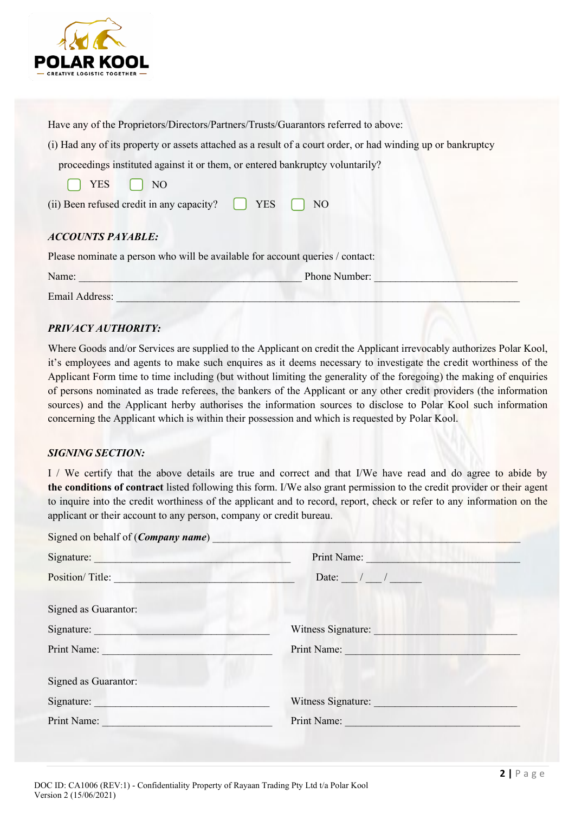

Have any of the Proprietors/Directors/Partners/Trusts/Guarantors referred to above:

(i) Had any of its property or assets attached as a result of a court order, or had winding up or bankruptcy

proceedings instituted against it or them, or entered bankruptcy voluntarily?

| <b>YES</b> | NO. |
|------------|-----|
|------------|-----|

| (ii) Been refused credit in any capacity? | <b>YES</b> | NO |
|-------------------------------------------|------------|----|
|-------------------------------------------|------------|----|

### *ACCOUNTS PAYABLE:*

Please nominate a person who will be available for account queries / contact:

| Name:          | Phone Number: |  |
|----------------|---------------|--|
| Email Address: |               |  |

## *PRIVACY AUTHORITY:*

Where Goods and/or Services are supplied to the Applicant on credit the Applicant irrevocably authorizes Polar Kool, it's employees and agents to make such enquires as it deems necessary to investigate the credit worthiness of the Applicant Form time to time including (but without limiting the generality of the foregoing) the making of enquiries of persons nominated as trade referees, the bankers of the Applicant or any other credit providers (the information sources) and the Applicant herby authorises the information sources to disclose to Polar Kool such information concerning the Applicant which is within their possession and which is requested by Polar Kool.

### *SIGNING SECTION:*

I / We certify that the above details are true and correct and that I/We have read and do agree to abide by **the conditions of contract** listed following this form. I/We also grant permission to the credit provider or their agent to inquire into the credit worthiness of the applicant and to record, report, check or refer to any information on the applicant or their account to any person, company or credit bureau.

| Signed on behalf of ( <i>Company name</i> ) |                            |
|---------------------------------------------|----------------------------|
|                                             | Print Name:                |
| Position/Title:                             | Date: $\frac{1}{\sqrt{2}}$ |
| Signed as Guarantor:                        |                            |
| Signature:                                  | Witness Signature:         |
| Print Name:                                 | Print Name:                |
| Signed as Guarantor:                        |                            |
| Signature:                                  | Witness Signature:         |
| Print Name:                                 | Print Name:                |
|                                             |                            |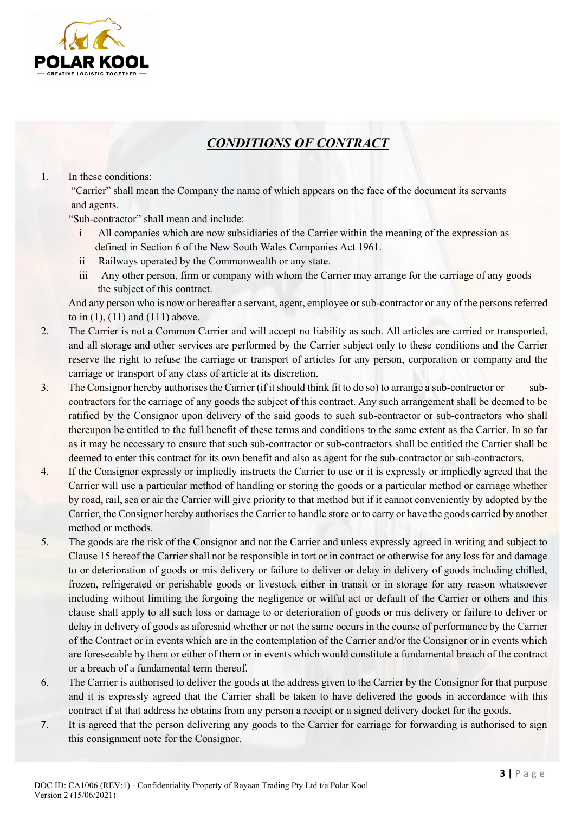

# *CONDITIONS OF CONTRACT*

#### 1. In these conditions:

"Carrier" shall mean the Company the name of which appears on the face of the document its servants and agents.

"Sub-contractor" shall mean and include:

- i All companies which are now subsidiaries of the Carrier within the meaning of the expression as defined in Section 6 of the New South Wales Companies Act 1961.
- ii Railways operated by the Commonwealth or any state.
- iii Any other person, firm or company with whom the Carrier may arrange for the carriage of any goods the subject of this contract.

And any person who is now or hereafter a servant, agent, employee or sub-contractor or any of the persons referred to in (1), (11) and (111) above.

- 2. The Carrier is not a Common Carrier and will accept no liability as such. All articles are carried or transported, and all storage and other services are performed by the Carrier subject only to these conditions and the Carrier reserve the right to refuse the carriage or transport of articles for any person, corporation or company and the carriage or transport of any class of article at its discretion.
- 3. The Consignor hereby authorises the Carrier (if it should think fit to do so) to arrange a sub-contractor or subcontractors for the carriage of any goods the subject of this contract. Any such arrangement shall be deemed to be ratified by the Consignor upon delivery of the said goods to such sub-contractor or sub-contractors who shall thereupon be entitled to the full benefit of these terms and conditions to the same extent as the Carrier. In so far as it may be necessary to ensure that such sub-contractor or sub-contractors shall be entitled the Carrier shall be deemed to enter this contract for its own benefit and also as agent for the sub-contractor or sub-contractors.
- 4. If the Consignor expressly or impliedly instructs the Carrier to use or it is expressly or impliedly agreed that the Carrier will use a particular method of handling or storing the goods or a particular method or carriage whether by road, rail, sea or air the Carrier will give priority to that method but if it cannot conveniently by adopted by the Carrier, the Consignor hereby authorises the Carrier to handle store or to carry or have the goods carried by another method or methods.
- 5. The goods are the risk of the Consignor and not the Carrier and unless expressly agreed in writing and subject to Clause 15 hereof the Carrier shall not be responsible in tort or in contract or otherwise for any loss for and damage to or deterioration of goods or mis delivery or failure to deliver or delay in delivery of goods including chilled, frozen, refrigerated or perishable goods or livestock either in transit or in storage for any reason whatsoever including without limiting the forgoing the negligence or wilful act or default of the Carrier or others and this clause shall apply to all such loss or damage to or deterioration of goods or mis delivery or failure to deliver or delay in delivery of goods as aforesaid whether or not the same occurs in the course of performance by the Carrier of the Contract or in events which are in the contemplation of the Carrier and/or the Consignor or in events which are foreseeable by them or either of them or in events which would constitute a fundamental breach of the contract or a breach of a fundamental term thereof.
- 6. The Carrier is authorised to deliver the goods at the address given to the Carrier by the Consignor for that purpose and it is expressly agreed that the Carrier shall be taken to have delivered the goods in accordance with this contract if at that address he obtains from any person a receipt or a signed delivery docket for the goods.
- 7. It is agreed that the person delivering any goods to the Carrier for carriage for forwarding is authorised to sign this consignment note for the Consignor.